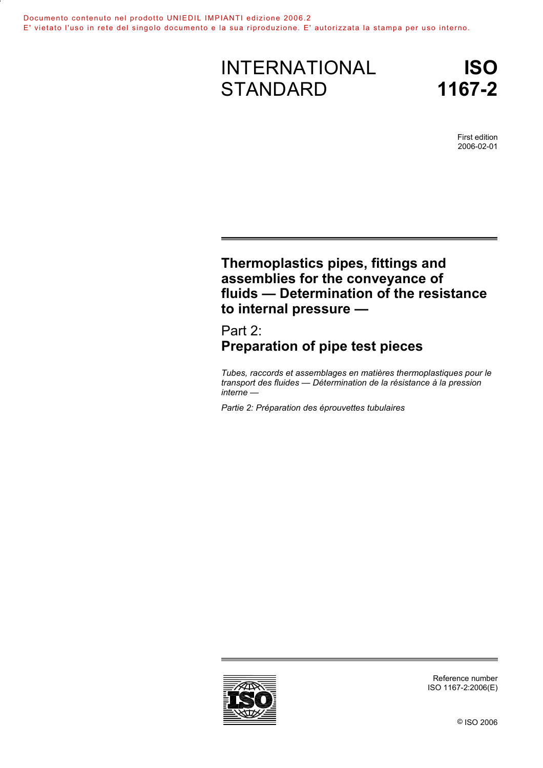# INTERNATIONAL **STANDARD**

First edition 2006-02-01

# **Thermoplastics pipes, fittings and assemblies for the conveyance of fluids — Determination of the resistance to internal pressure —**

Part 2: **Preparation of pipe test pieces** 

*Tubes, raccords et assemblages en matières thermoplastiques pour le transport des fluides — Détermination de la résistance à la pression interne —* 

*Partie 2: Préparation des éprouvettes tubulaires* 



Reference number ISO 1167-2:2006(E)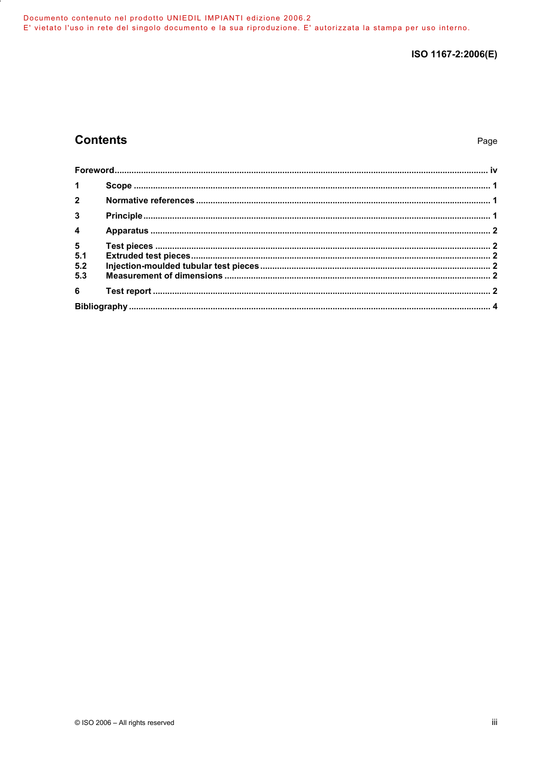# **Contents**

| 1 <sup>1</sup>          |  |
|-------------------------|--|
|                         |  |
| $\overline{\mathbf{3}}$ |  |
| $\overline{4}$          |  |
|                         |  |
|                         |  |
| 5.2                     |  |
| 5.3                     |  |
|                         |  |
|                         |  |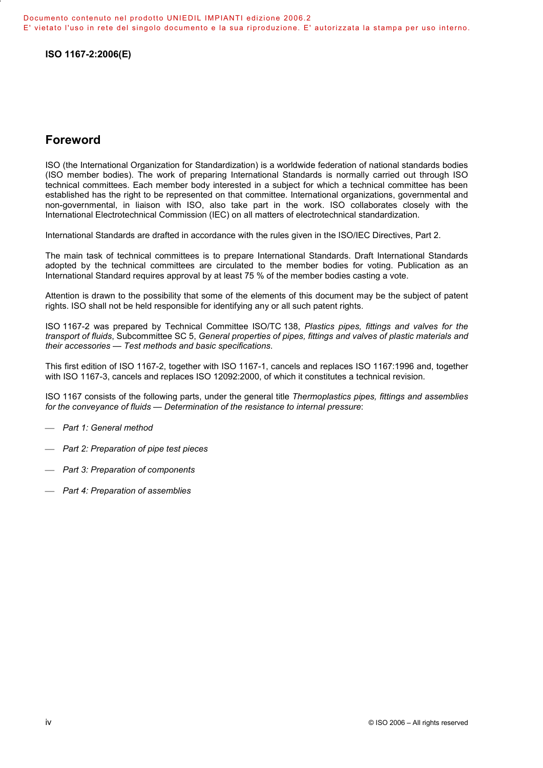### **Foreword**

ISO (the International Organization for Standardization) is a worldwide federation of national standards bodies (ISO member bodies). The work of preparing International Standards is normally carried out through ISO technical committees. Each member body interested in a subject for which a technical committee has been established has the right to be represented on that committee. International organizations, governmental and non-governmental, in liaison with ISO, also take part in the work. ISO collaborates closely with the International Electrotechnical Commission (IEC) on all matters of electrotechnical standardization.

International Standards are drafted in accordance with the rules given in the ISO/IEC Directives, Part 2.

The main task of technical committees is to prepare International Standards. Draft International Standards adopted by the technical committees are circulated to the member bodies for voting. Publication as an International Standard requires approval by at least 75 % of the member bodies casting a vote.

Attention is drawn to the possibility that some of the elements of this document may be the subject of patent rights. ISO shall not be held responsible for identifying any or all such patent rights.

ISO 1167-2 was prepared by Technical Committee ISO/TC 138, *Plastics pipes, fittings and valves for the transport of fluids*, Subcommittee SC 5, *General properties of pipes, fittings and valves of plastic materials and their accessories — Test methods and basic specifications*.

This first edition of ISO 1167-2, together with ISO 1167-1, cancels and replaces ISO 1167:1996 and, together with ISO 1167-3, cancels and replaces ISO 12092:2000, of which it constitutes a technical revision.

ISO 1167 consists of the following parts, under the general title *Thermoplastics pipes, fittings and assemblies for the conveyance of fluids — Determination of the resistance to internal pressure*:

- *Part 1: General method*
- *Part 2: Preparation of pipe test pieces*
- *Part 3: Preparation of components*
- *Part 4: Preparation of assemblies*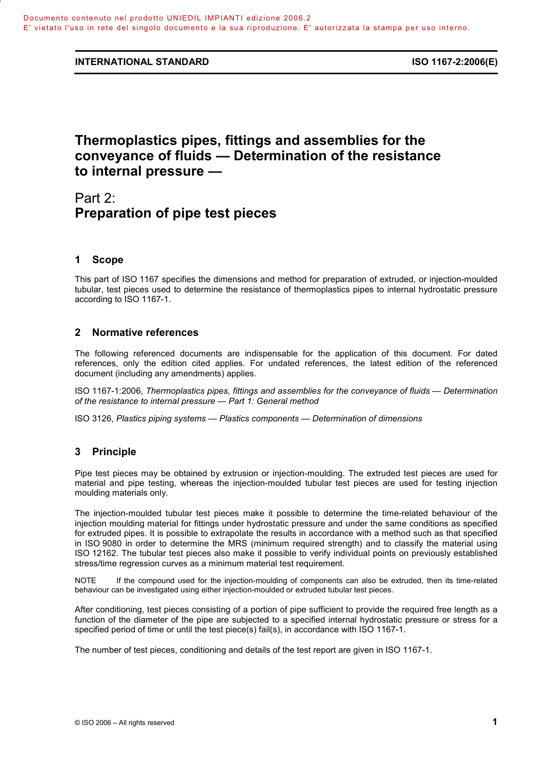# **Thermoplastics pipes, fittings and assemblies for the conveyance of fluids — Determination of the resistance to internal pressure —**

# Part 2: **Preparation of pipe test pieces**

### **1 Scope**

This part of ISO 1167 specifies the dimensions and method for preparation of extruded, or injection-moulded tubular, test pieces used to determine the resistance of thermoplastics pipes to internal hydrostatic pressure according to ISO 1167-1.

### **2 Normative references**

The following referenced documents are indispensable for the application of this document. For dated references, only the edition cited applies. For undated references, the latest edition of the referenced document (including any amendments) applies.

ISO 1167-1:2006, *Thermoplastics pipes, fittings and assemblies for the conveyance of fluids — Determination of the resistance to internal pressure — Part 1: General method*

ISO 3126, *Plastics piping systems — Plastics components — Determination of dimensions*

### **3 Principle**

Pipe test pieces may be obtained by extrusion or injection-moulding. The extruded test pieces are used for material and pipe testing, whereas the injection-moulded tubular test pieces are used for testing injection moulding materials only.

The injection-moulded tubular test pieces make it possible to determine the time-related behaviour of the injection moulding material for fittings under hydrostatic pressure and under the same conditions as specified for extruded pipes. It is possible to extrapolate the results in accordance with a method such as that specified in ISO 9080 in order to determine the MRS (minimum required strength) and to classify the material using ISO 12162. The tubular test pieces also make it possible to verify individual points on previously established stress/time regression curves as a minimum material test requirement.

NOTE If the compound used for the injection-moulding of components can also be extruded, then its time-related behaviour can be investigated using either injection-moulded or extruded tubular test pieces.

After conditioning, test pieces consisting of a portion of pipe sufficient to provide the required free length as a function of the diameter of the pipe are subjected to a specified internal hydrostatic pressure or stress for a specified period of time or until the test piece(s) fail(s), in accordance with ISO 1167-1.

The number of test pieces, conditioning and details of the test report are given in ISO 1167-1.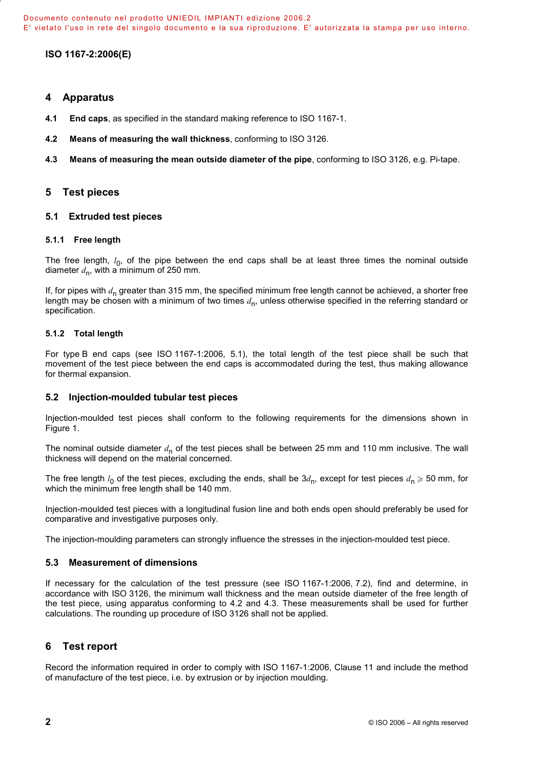### **4 Apparatus**

- **4.1 End caps**, as specified in the standard making reference to ISO 1167-1.
- **4.2 Means of measuring the wall thickness**, conforming to ISO 3126.
- **4.3 Means of measuring the mean outside diameter of the pipe**, conforming to ISO 3126, e.g. Pi-tape.

#### **5 Test pieces**

#### **5.1 Extruded test pieces**

#### **5.1.1 Free length**

The free length,  $l_0$ , of the pipe between the end caps shall be at least three times the nominal outside diameter  $d_n$ , with a minimum of 250 mm.

If, for pipes with *d*n greater than 315 mm, the specified minimum free length cannot be achieved, a shorter free length may be chosen with a minimum of two times  $d_n$ , unless otherwise specified in the referring standard or specification.

#### **5.1.2 Total length**

For type B end caps (see ISO 1167-1:2006, 5.1), the total length of the test piece shall be such that movement of the test piece between the end caps is accommodated during the test, thus making allowance for thermal expansion.

#### **5.2 Injection-moulded tubular test pieces**

Injection-moulded test pieces shall conform to the following requirements for the dimensions shown in Figure 1.

The nominal outside diameter  $d_n$  of the test pieces shall be between 25 mm and 110 mm inclusive. The wall thickness will depend on the material concerned.

The free length  $l_0$  of the test pieces, excluding the ends, shall be  $3d_n$ , except for test pieces  $d_n \geq 50$  mm, for which the minimum free length shall be 140 mm.

Injection-moulded test pieces with a longitudinal fusion line and both ends open should preferably be used for comparative and investigative purposes only.

The injection-moulding parameters can strongly influence the stresses in the injection-moulded test piece.

#### **5.3 Measurement of dimensions**

If necessary for the calculation of the test pressure (see ISO 1167-1:2006, 7.2), find and determine, in accordance with ISO 3126, the minimum wall thickness and the mean outside diameter of the free length of the test piece, using apparatus conforming to 4.2 and 4.3. These measurements shall be used for further calculations. The rounding up procedure of ISO 3126 shall not be applied.

### **6 Test report**

Record the information required in order to comply with ISO 1167-1:2006, Clause 11 and include the method of manufacture of the test piece, i.e. by extrusion or by injection moulding.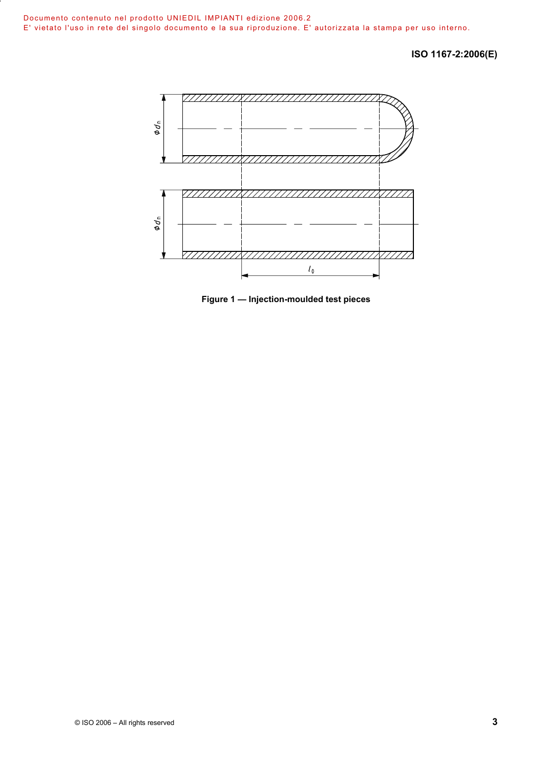

**Figure 1 — Injection-moulded test pieces**